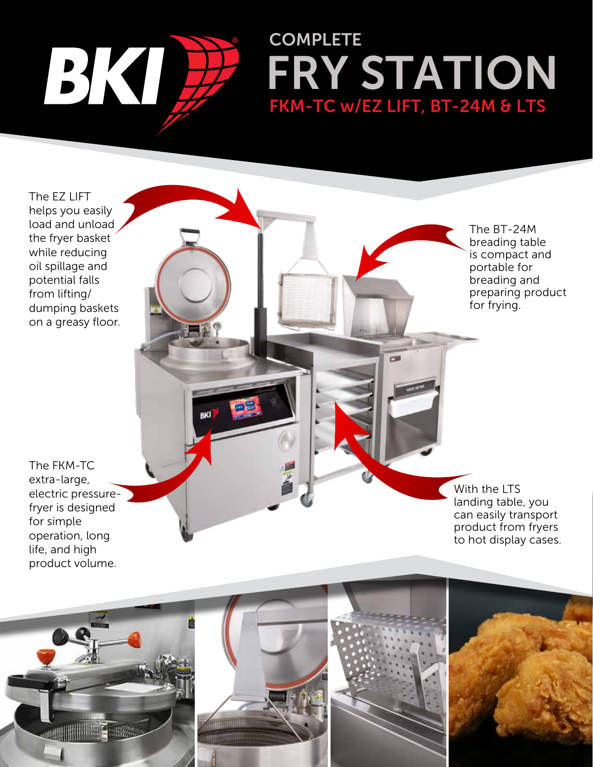

**BKI** 

## FRY STATION FKM-TC w/EZ LIFT, BT-24M & LTS **COMPLETE**

The EZ LIFT helps you easily load and unload the fryer basket while reducing oil spillage and potential falls from lifting/ dumping baskets on a greasy floor.

The BT-24M breading table is compact and portable for breading and preparing product for frying.

The FKM-TC extra-large, electric pressurefryer is designed for simple operation, long life, and high product volume.

With the LTS landing table, you can easily transport product from fryers to hot display cases.